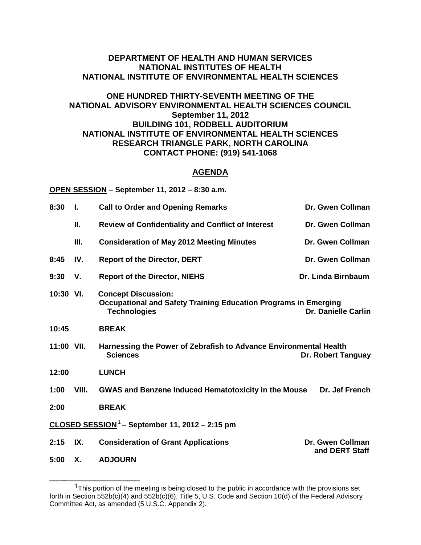## **DEPARTMENT OF HEALTH AND HUMAN SERVICES NATIONAL INSTITUTES OF HEALTH NATIONAL INSTITUTE OF ENVIRONMENTAL HEALTH SCIENCES**

## **ONE HUNDRED THIRTY-SEVENTH MEETING OF THE NATIONAL ADVISORY ENVIRONMENTAL HEALTH SCIENCES COUNCIL September 11, 2012 BUILDING 101, RODBELL AUDITORIUM NATIONAL INSTITUTE OF ENVIRONMENTAL HEALTH SCIENCES RESEARCH TRIANGLE PARK, NORTH CAROLINA CONTACT PHONE: (919) 541-1068**

## **AGENDA**

**OPEN SESSION – September 11, 2012 – 8:30 a.m.**

**\_\_\_\_\_\_\_\_\_\_\_\_\_\_\_\_\_\_\_\_\_\_**

| 8:30                                                       | Ι.    | <b>Call to Order and Opening Remarks</b>                                                                                    | Dr. Gwen Collman                   |  |  |
|------------------------------------------------------------|-------|-----------------------------------------------------------------------------------------------------------------------------|------------------------------------|--|--|
|                                                            | Ш.    | <b>Review of Confidentiality and Conflict of Interest</b>                                                                   | Dr. Gwen Collman                   |  |  |
|                                                            | III.  | <b>Consideration of May 2012 Meeting Minutes</b>                                                                            | Dr. Gwen Collman                   |  |  |
| 8:45                                                       | IV.   | <b>Report of the Director, DERT</b>                                                                                         | Dr. Gwen Collman                   |  |  |
| 9:30                                                       | V.    | <b>Report of the Director, NIEHS</b>                                                                                        | Dr. Linda Birnbaum                 |  |  |
| $10:30$ VI.                                                |       | <b>Concept Discussion:</b><br><b>Occupational and Safety Training Education Programs in Emerging</b><br><b>Technologies</b> | <b>Dr. Danielle Carlin</b>         |  |  |
| 10:45                                                      |       | <b>BREAK</b>                                                                                                                |                                    |  |  |
| 11:00 VII.                                                 |       | Harnessing the Power of Zebrafish to Advance Environmental Health<br><b>Sciences</b>                                        | <b>Dr. Robert Tanguay</b>          |  |  |
| 12:00                                                      |       | <b>LUNCH</b>                                                                                                                |                                    |  |  |
| 1:00                                                       | VIII. | <b>GWAS and Benzene Induced Hematotoxicity in the Mouse</b>                                                                 | Dr. Jef French                     |  |  |
| 2:00                                                       |       | <b>BREAK</b>                                                                                                                |                                    |  |  |
| CLOSED SESSION <sup>1</sup> - September 11, 2012 - 2:15 pm |       |                                                                                                                             |                                    |  |  |
| 2:15                                                       | IX.   | <b>Consideration of Grant Applications</b>                                                                                  | Dr. Gwen Collman<br>and DERT Staff |  |  |
| 5:00                                                       | Χ.    | <b>ADJOURN</b>                                                                                                              |                                    |  |  |

<sup>&</sup>lt;sup>1</sup>This portion of the meeting is being closed to the public in accordance with the provisions set forth in Section 552b(c)(4) and 552b(c)(6), Title 5, U.S. Code and Section 10(d) of the Federal Advisory Committee Act, as amended (5 U.S.C. Appendix 2).